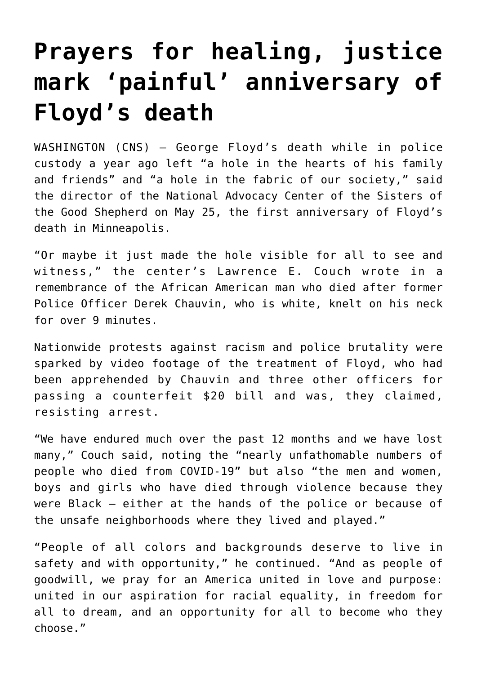## **[Prayers for healing, justice](https://www.osvnews.com/2021/05/25/prayers-for-healing-justice-mark-painful-anniversary-of-floyds-death/) [mark 'painful' anniversary of](https://www.osvnews.com/2021/05/25/prayers-for-healing-justice-mark-painful-anniversary-of-floyds-death/) [Floyd's death](https://www.osvnews.com/2021/05/25/prayers-for-healing-justice-mark-painful-anniversary-of-floyds-death/)**

WASHINGTON (CNS) — George Floyd's death while in police custody a year ago left "a hole in the hearts of his family and friends" and "a hole in the fabric of our society," said the director of the National Advocacy Center of the Sisters of the Good Shepherd on May 25, the first anniversary of Floyd's death in Minneapolis.

"Or maybe it just made the hole visible for all to see and witness," the center's Lawrence E. Couch wrote in a remembrance of the African American man who died after former Police Officer Derek Chauvin, who is white, knelt on his neck for over 9 minutes.

Nationwide protests against racism and police brutality were sparked by video footage of the treatment of Floyd, who had been apprehended by Chauvin and three other officers for passing a counterfeit \$20 bill and was, they claimed, resisting arrest.

"We have endured much over the past 12 months and we have lost many," Couch said, noting the "nearly unfathomable numbers of people who died from COVID-19" but also "the men and women, boys and girls who have died through violence because they were Black — either at the hands of the police or because of the unsafe neighborhoods where they lived and played."

"People of all colors and backgrounds deserve to live in safety and with opportunity," he continued. "And as people of goodwill, we pray for an America united in love and purpose: united in our aspiration for racial equality, in freedom for all to dream, and an opportunity for all to become who they choose."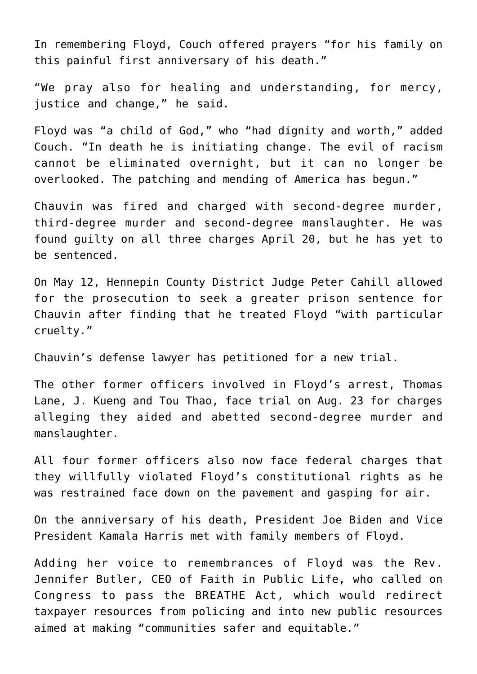In remembering Floyd, Couch offered prayers "for his family on this painful first anniversary of his death."

"We pray also for healing and understanding, for mercy, justice and change," he said.

Floyd was "a child of God," who "had dignity and worth," added Couch. "In death he is initiating change. The evil of racism cannot be eliminated overnight, but it can no longer be overlooked. The patching and mending of America has begun."

Chauvin was fired and charged with second-degree murder, third-degree murder and second-degree manslaughter. He was found guilty on all three charges April 20, but he has yet to be sentenced.

On May 12, Hennepin County District Judge Peter Cahill allowed for the prosecution to seek a greater prison sentence for Chauvin after finding that he treated Floyd "with particular cruelty."

Chauvin's defense lawyer has petitioned for a new trial.

The other former officers involved in Floyd's arrest, Thomas Lane, J. Kueng and Tou Thao, face trial on Aug. 23 for charges alleging they aided and abetted second-degree murder and manslaughter.

All four former officers also now face federal charges that they willfully violated Floyd's constitutional rights as he was restrained face down on the pavement and gasping for air.

On the anniversary of his death, President Joe Biden and Vice President Kamala Harris met with family members of Floyd.

Adding her voice to remembrances of Floyd was the Rev. Jennifer Butler, CEO of Faith in Public Life, who called on Congress to pass the BREATHE Act, which would redirect taxpayer resources from policing and into new public resources aimed at making "communities safer and equitable."